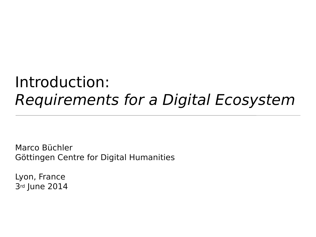## Introduction: Requirements for a Digital Ecosystem

Marco Büchler Göttingen Centre for Digital Humanities

Lyon, France 3rd June 2014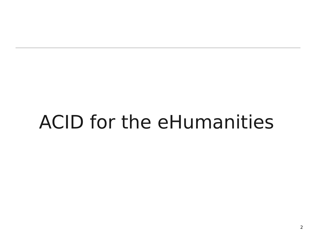## ACID for the eHumanities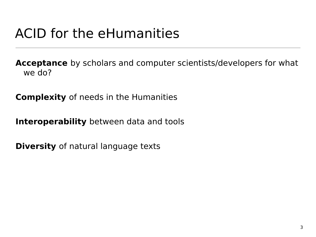## ACID for the eHumanities

**Acceptance** by scholars and computer scientists/developers for what we do?

**Complexity** of needs in the Humanities

**Interoperability** between data and tools

**Diversity** of natural language texts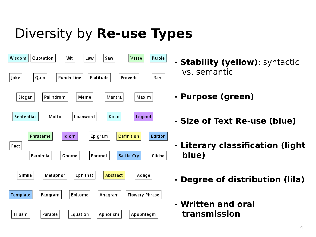## Diversity by **Re-use Types**



- **Stability (yellow)**: syntactic vs. semantic
- **Purpose (green)**
- **Size of Text Re-use (blue)**
- **Literary classification (light blue)**
- **Degree of distribution (lila)**
- **Written and oral transmission**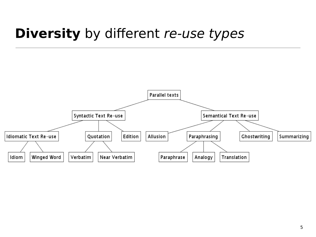## **Diversity** by different re-use types

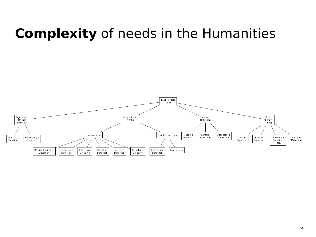## **Complexity** of needs in the Humanities

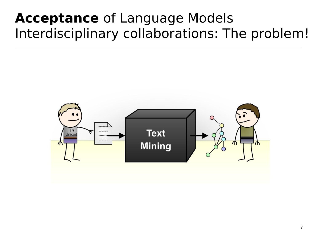## **Acceptance** of Language Models Interdisciplinary collaborations: The problem!

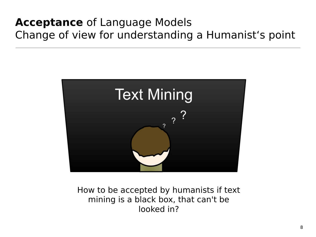### **Acceptance** of Language Models Change of view for understanding a Humanist's point



How to be accepted by humanists if text mining is a black box, that can't be looked in?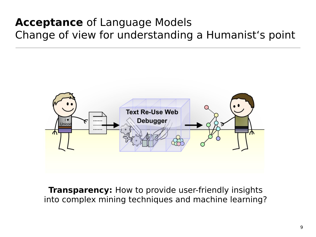### **Acceptance** of Language Models Change of view for understanding a Humanist's point



**Transparency:** How to provide user-friendly insights into complex mining techniques and machine learning?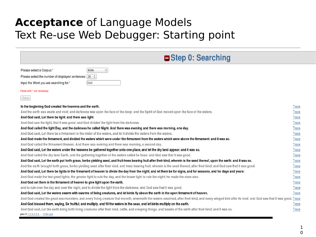#### **Acceptance** of Language Models Text Re-use Web Debugger: Starting point

| Step 0: Searching                                                                                                                                                                                        |              |
|----------------------------------------------------------------------------------------------------------------------------------------------------------------------------------------------------------|--------------|
| $\hat{\mathbf{v}}$<br>bible<br>Please select a Corpus:*                                                                                                                                                  |              |
| Please select the number of displayed sentences: 20 $\degree$                                                                                                                                            |              |
| God<br>Input the Word you are searching for:*                                                                                                                                                            |              |
| Fields with * are necessary                                                                                                                                                                              |              |
| Trace                                                                                                                                                                                                    |              |
| In the beginning God created the heavens and the earth.                                                                                                                                                  | Trace        |
| And the earth was waste and void; and darkness was upon the face of the deep: and the Spirit of God moved upon the face of the waters.                                                                   | Trace        |
| And God said, Let there be light: and there was light.                                                                                                                                                   | Trace        |
| And God saw the light, that it was good: and God divided the light from the darkness.                                                                                                                    | Trace        |
| And God called the light Day, and the darkness he called Night. And there was evening and there was morning, one day.                                                                                    | Trace        |
| And God said, Let there be a firmament in the midst of the waters, and let it divide the waters from the waters.                                                                                         | Trace        |
| And God made the firmament, and divided the waters which were under the firmament from the waters which were above the firmament: and it was so.                                                         | Trace        |
| And God called the firmament Heaven. And there was evening and there was morning, a second day.                                                                                                          | Trace        |
| And God said, Let the waters under the heavens be gathered together unto one place, and let the dry land appear: and it was so.                                                                          | <b>Trace</b> |
| And God called the dry land Earth; and the gathering together of the waters called he Seas: and God saw that it was good.                                                                                | <b>Trace</b> |
| And God said, Let the earth put forth grass, herbs yielding seed, and fruit-trees bearing fruit after their kind, wherein is the seed thereof, upon the earth: and it was so.                            | Trace        |
| And the earth brought forth grass, herbs yielding seed after their kind, and trees bearing fruit, wherein is the seed thereof, after their kind: and God saw that it was good.                           | Trace        |
| And God said, Let there be lights in the firmament of heaven to divide the day from the night; and let them be for signs, and for seasons, and for days and years:                                       | Trace        |
| And God made the two great lights; the greater light to rule the day, and the lesser light to rule the night: he made the stars also.                                                                    | Trace        |
| And God set them in the firmament of heaven to give light upon the earth,                                                                                                                                | Trace        |
| and to rule over the day and over the night, and to divide the light from the darkness: and God saw that it was good.                                                                                    | <b>Trace</b> |
| And God said, Let the waters swarm with swarms of living creatures, and let birds fly above the earth in the open firmament of heaven.                                                                   | Trace        |
| And God created the great sea-monsters, and every living creature that moveth, wherewith the waters swarmed, after their kind, and every winged bird after its kind: and God saw that it was good. Trace |              |
| And God blessed them, saying, Be fruitful, and multiply, and fill the waters in the seas, and let birds multiply on the earth.                                                                           | Trace        |
| And God said, Let the earth bring forth living creatures after their kind, cattle, and creeping things, and beasts of the earth after their kind: and it was so.                                         | Trace        |
| prev 0 1 2 3 4 5 6  1146 next                                                                                                                                                                            |              |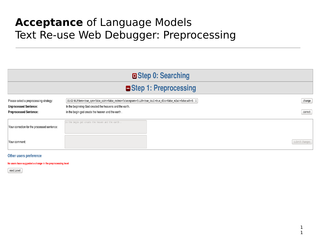#### **Acceptance** of Language Models Text Re-use Web Debugger: Preprocessing

|                                                                         |                                                                                                        | □ Step 0: Searching |                |  |  |  |  |  |
|-------------------------------------------------------------------------|--------------------------------------------------------------------------------------------------------|---------------------|----------------|--|--|--|--|--|
| Step 1: Preprocessing                                                   |                                                                                                        |                     |                |  |  |  |  |  |
| Please select a preprocessing strategy:<br><b>Unprocessed Sentence:</b> | In the beginning God created the heavens and the earth.                                                |                     | change         |  |  |  |  |  |
| <b>Preprocessed Sentence:</b>                                           | in the begin god create the heaven and the earth.<br>in the begin god create the heaven and the earth. |                     | correct        |  |  |  |  |  |
| Your correction for the processed sentence:<br>Your comment:            |                                                                                                        |                     | submit changes |  |  |  |  |  |

#### Other users preference

No users have suggested a change in the preprocessing level

next Level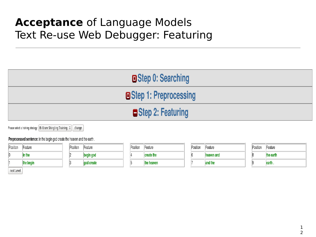#### **Acceptance** of Language Models Text Re-use Web Debugger: Featuring

| □ Step 0: Searching     |
|-------------------------|
| □ Step 1: Preprocessing |
| Step 2: Featuring       |
|                         |

Please select a training strategy: Bi Gram Shingling Training  $\left|\mathcal{C}\right|$  change

Preprocessed sentence: in the begin god create the heaven and the earth.

| Position | Feature   | <b>Position</b> | Feature    | Position | Feature    | Position | Feature    | Position | Feature   |
|----------|-----------|-----------------|------------|----------|------------|----------|------------|----------|-----------|
|          | in the    |                 | begin god  |          | create the |          | heaven and |          | the earth |
|          | the begin |                 | god create |          | the heaven |          | and the    |          | earth .   |

next Level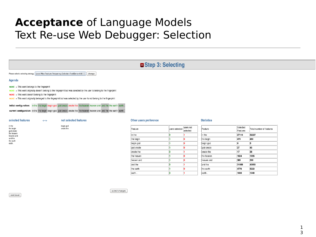#### **Acceptance** of Language Models Text Re-use Web Debugger: Selection

 $\int$  next Level

| Step 3: Selecting                                                                                     |                                          |                                                                                                                                                                                                                                                  |                        |                |                       |                   |                      |                          |
|-------------------------------------------------------------------------------------------------------|------------------------------------------|--------------------------------------------------------------------------------------------------------------------------------------------------------------------------------------------------------------------------------------------------|------------------------|----------------|-----------------------|-------------------|----------------------|--------------------------|
|                                                                                                       |                                          | Please select a selecting strategy: [Local Max Feature Frequency Selector: FeatDens=0.8 $\circ$ ] [change                                                                                                                                        |                        |                |                       |                   |                      |                          |
| Agenda                                                                                                |                                          |                                                                                                                                                                                                                                                  |                        |                |                       |                   |                      |                          |
| $word$ = This word belongs to the fingerprint<br>$word$ = This word doesn't belong to the fingerprint |                                          | word = This word originally doesn't belong to the fingerprint but was selected by the user to belong to the fingerprint<br>word = This word originally belonged to the fingerprint but was selected by the user to not belong to the fingerprint |                        |                |                       |                   |                      |                          |
|                                                                                                       |                                          | initial configuration: in the the begin begin god god create create the the heaven heaven and and the the earth earth.<br>current configuration: in the the begin begin god god create create the the heaven heaven and and the the earth earth. |                        |                |                       |                   |                      |                          |
| selected features                                                                                     | $\left\langle \rightarrow \right\rangle$ | not selected features                                                                                                                                                                                                                            | Other users preference |                |                       | <b>Statistics</b> |                      |                          |
| in the<br>the begin<br>god create                                                                     |                                          | begin god<br>create the                                                                                                                                                                                                                          | Feature                | users selected | users not<br>selected | Feature           | Selected<br>Features | Total number of features |
| the heaven<br>heaven and                                                                              |                                          |                                                                                                                                                                                                                                                  | in the                 |                |                       | in the            | 27114                | 32227                    |
| and the<br>the earth                                                                                  |                                          |                                                                                                                                                                                                                                                  | the begin              |                |                       | the begin         | 470                  | 480                      |
| earth.                                                                                                |                                          |                                                                                                                                                                                                                                                  | begin god              |                |                       | begin god         | 10                   | 5                        |
|                                                                                                       |                                          |                                                                                                                                                                                                                                                  | god create             |                |                       | god create        | 27                   | 45                       |
|                                                                                                       |                                          |                                                                                                                                                                                                                                                  | create the             |                |                       | create the        | 17                   | 38                       |
|                                                                                                       |                                          |                                                                                                                                                                                                                                                  | the heaven             |                |                       | the heaven        | 1624                 | 1695                     |
|                                                                                                       |                                          |                                                                                                                                                                                                                                                  | heaven and             |                |                       | heaven and        | 389                  | 398                      |
|                                                                                                       |                                          |                                                                                                                                                                                                                                                  | and the                |                |                       | and the           | 31808                | 40850                    |
|                                                                                                       |                                          |                                                                                                                                                                                                                                                  | the earth              |                |                       | the earth         | 4776                 | 5222                     |
|                                                                                                       |                                          |                                                                                                                                                                                                                                                  | earth.                 |                |                       | earth.            | 1030                 | 1040                     |

1 3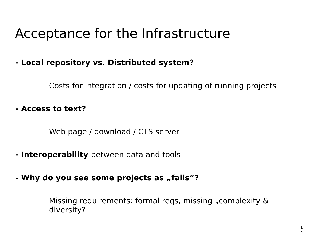## Acceptance for the Infrastructure

- **Local repository vs. Distributed system?**
	- Costs for integration / costs for updating of running projects
- **Access to text?**
	- Web page / download / CTS server
- **Interoperability** between data and tools
- Why do you see some projects as "fails"?
	- Missing requirements: formal reqs, missing "complexity & diversity?